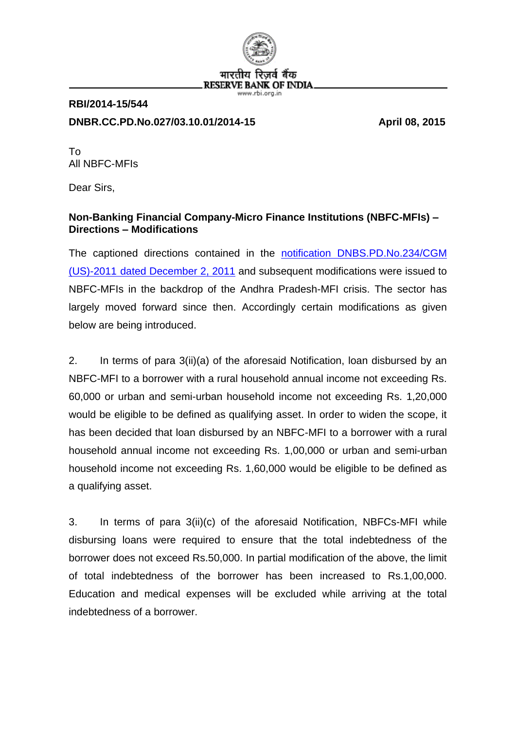

# **RBI/2014-15/544 DNBR.CC.PD.No.027/03.10.01/2014-15 April 08, 2015**

To All NBFC-MFIs

Dear Sirs,

## **Non-Banking Financial Company-Micro Finance Institutions (NBFC-MFIs) – Directions – Modifications**

The captioned directions contained in the [notification DNBS.PD.No.234/CGM](http://rbi.org.in/scripts/NotificationUser.aspx?Id=6857&Mode=0#234)  (US)-2011 [dated December 2, 2011](http://rbi.org.in/scripts/NotificationUser.aspx?Id=6857&Mode=0#234) and subsequent modifications were issued to NBFC-MFIs in the backdrop of the Andhra Pradesh-MFI crisis. The sector has largely moved forward since then. Accordingly certain modifications as given below are being introduced.

2. In terms of para 3(ii)(a) of the aforesaid Notification, loan disbursed by an NBFC-MFI to a borrower with a rural household annual income not exceeding Rs. 60,000 or urban and semi-urban household income not exceeding Rs. 1,20,000 would be eligible to be defined as qualifying asset. In order to widen the scope, it has been decided that loan disbursed by an NBFC-MFI to a borrower with a rural household annual income not exceeding Rs. 1,00,000 or urban and semi-urban household income not exceeding Rs. 1,60,000 would be eligible to be defined as a qualifying asset.

3. In terms of para 3(ii)(c) of the aforesaid Notification, NBFCs-MFI while disbursing loans were required to ensure that the total indebtedness of the borrower does not exceed Rs.50,000. In partial modification of the above, the limit of total indebtedness of the borrower has been increased to Rs.1,00,000. Education and medical expenses will be excluded while arriving at the total indebtedness of a borrower.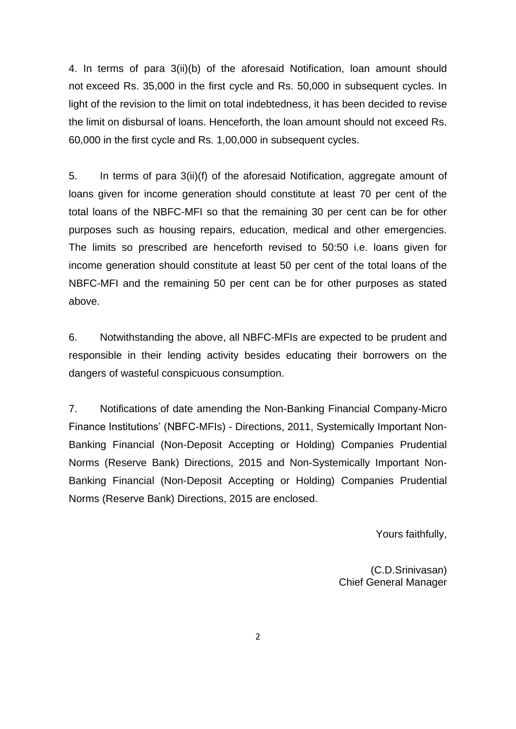4. In terms of para 3(ii)(b) of the aforesaid Notification, loan amount should not exceed Rs. 35,000 in the first cycle and Rs. 50,000 in subsequent cycles. In light of the revision to the limit on total indebtedness, it has been decided to revise the limit on disbursal of loans. Henceforth, the loan amount should not exceed Rs. 60,000 in the first cycle and Rs. 1,00,000 in subsequent cycles.

5. In terms of para 3(ii)(f) of the aforesaid Notification, aggregate amount of loans given for income generation should constitute at least 70 per cent of the total loans of the NBFC-MFI so that the remaining 30 per cent can be for other purposes such as housing repairs, education, medical and other emergencies. The limits so prescribed are henceforth revised to 50:50 i.e. loans given for income generation should constitute at least 50 per cent of the total loans of the NBFC-MFI and the remaining 50 per cent can be for other purposes as stated above.

6. Notwithstanding the above, all NBFC-MFIs are expected to be prudent and responsible in their lending activity besides educating their borrowers on the dangers of wasteful conspicuous consumption.

7. Notifications of date amending the Non-Banking Financial Company-Micro Finance Institutions' (NBFC-MFIs) - Directions, 2011, Systemically Important Non-Banking Financial (Non-Deposit Accepting or Holding) Companies Prudential Norms (Reserve Bank) Directions, 2015 and Non-Systemically Important Non-Banking Financial (Non-Deposit Accepting or Holding) Companies Prudential Norms (Reserve Bank) Directions, 2015 are enclosed.

Yours faithfully,

(C.D.Srinivasan) Chief General Manager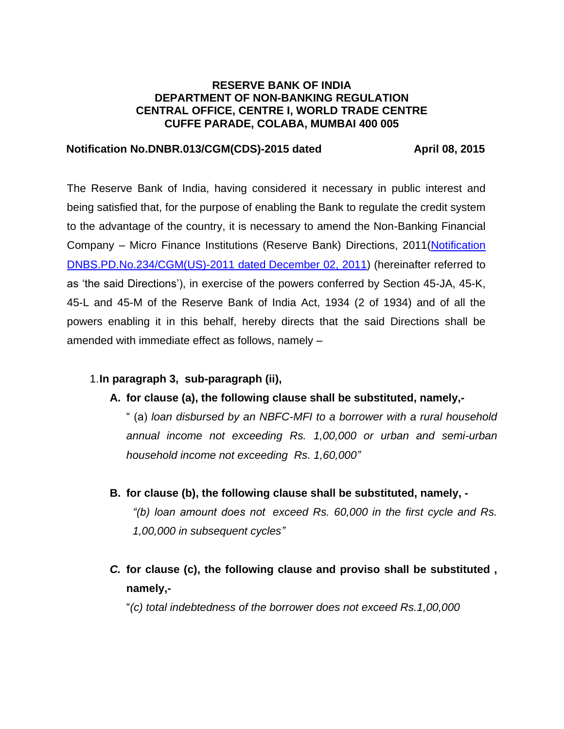#### **RESERVE BANK OF INDIA DEPARTMENT OF NON-BANKING REGULATION CENTRAL OFFICE, CENTRE I, WORLD TRADE CENTRE CUFFE PARADE, COLABA, MUMBAI 400 005**

#### **Notification No.DNBR.013/CGM(CDS)-2015 dated April 08, 2015**

The Reserve Bank of India, having considered it necessary in public interest and being satisfied that, for the purpose of enabling the Bank to regulate the credit system to the advantage of the country, it is necessary to amend the Non-Banking Financial Company – Micro Finance Institutions (Reserve Bank) Directions, 2011[\(Notification](http://rbi.org.in/scripts/NotificationUser.aspx?Id=6857&Mode=0#234)  [DNBS.PD.No.234/CGM\(US\)-2011 dated](http://rbi.org.in/scripts/NotificationUser.aspx?Id=6857&Mode=0#234) December 02, 2011) (hereinafter referred to as 'the said Directions'), in exercise of the powers conferred by Section 45-JA, 45-K, 45-L and 45-M of the Reserve Bank of India Act, 1934 (2 of 1934) and of all the powers enabling it in this behalf, hereby directs that the said Directions shall be amended with immediate effect as follows, namely –

## 1.**In paragraph 3, sub-paragraph (ii),**

**A. for clause (a), the following clause shall be substituted, namely,-**

" (a) *loan disbursed by an NBFC-MFI to a borrower with a rural household annual income not exceeding Rs. 1,00,000 or urban and semi-urban household income not exceeding Rs. 1,60,000"*

- **B. for clause (b), the following clause shall be substituted, namely, -** *"(b) loan amount does not exceed Rs. 60,000 in the first cycle and Rs. 1,00,000 in subsequent cycles"*
- *C.* **for clause (c), the following clause and proviso shall be substituted , namely,-**

"*(c) total indebtedness of the borrower does not exceed Rs.1,00,000*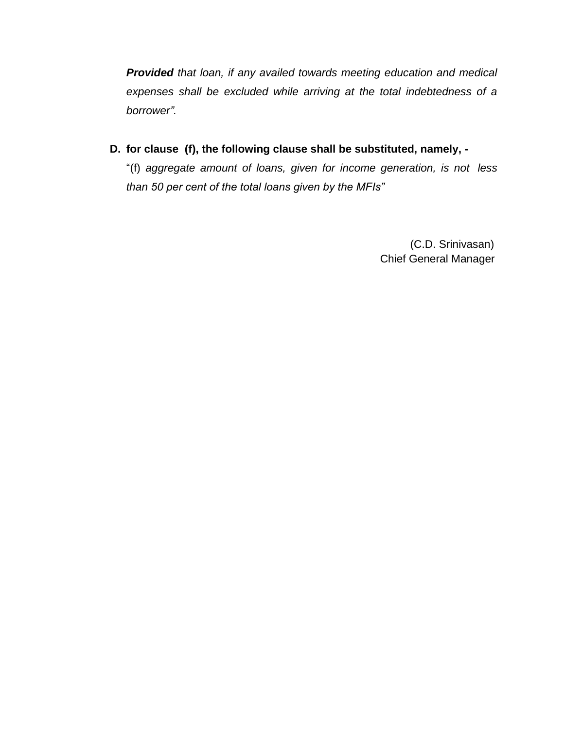*Provided that loan, if any availed towards meeting education and medical expenses shall be excluded while arriving at the total indebtedness of a borrower".*

**D. for clause (f), the following clause shall be substituted, namely, -**

"(f) *aggregate amount of loans, given for income generation, is not less than 50 per cent of the total loans given by the MFIs"*

> (C.D. Srinivasan) Chief General Manager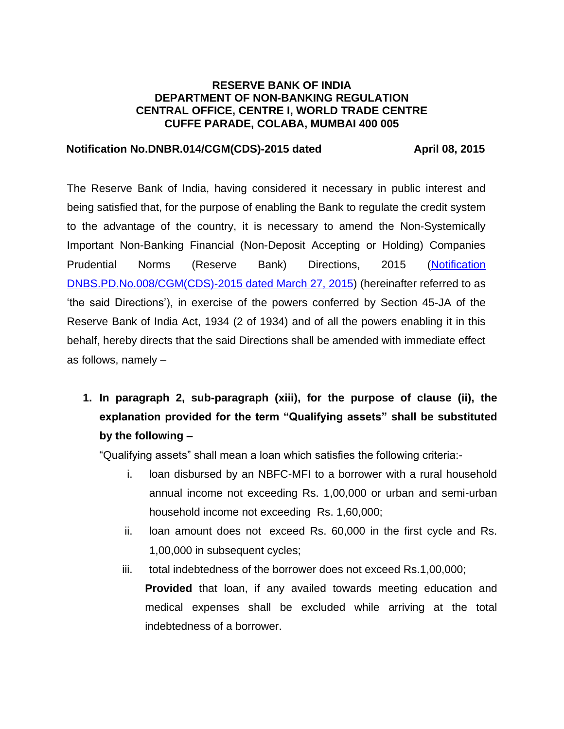### **RESERVE BANK OF INDIA DEPARTMENT OF NON-BANKING REGULATION CENTRAL OFFICE, CENTRE I, WORLD TRADE CENTRE CUFFE PARADE, COLABA, MUMBAI 400 005**

### **Notification No.DNBR.014/CGM(CDS)-2015 dated April 08, 2015**

The Reserve Bank of India, having considered it necessary in public interest and being satisfied that, for the purpose of enabling the Bank to regulate the credit system to the advantage of the country, it is necessary to amend the Non-Systemically Important Non-Banking Financial (Non-Deposit Accepting or Holding) Companies Prudential Norms (Reserve Bank) Directions, 2015 [\(Notification](http://rbidocs.rbi.org.in/rdocs/content/pdfs/PNNBFC200315.pdf)  [DNBS.PD.No.008/CGM\(CDS\)-2015](http://rbidocs.rbi.org.in/rdocs/content/pdfs/PNNBFC200315.pdf) dated March 27, 2015) (hereinafter referred to as 'the said Directions'), in exercise of the powers conferred by Section 45-JA of the Reserve Bank of India Act, 1934 (2 of 1934) and of all the powers enabling it in this behalf, hereby directs that the said Directions shall be amended with immediate effect as follows, namely –

**1. In paragraph 2, sub-paragraph (xiii), for the purpose of clause (ii), the explanation provided for the term "Qualifying assets" shall be substituted by the following –**

"Qualifying assets" shall mean a loan which satisfies the following criteria:-

- i. loan disbursed by an NBFC-MFI to a borrower with a rural household annual income not exceeding Rs. 1,00,000 or urban and semi-urban household income not exceeding Rs. 1,60,000;
- ii. loan amount does not exceed Rs. 60,000 in the first cycle and Rs. 1,00,000 in subsequent cycles;
- iii. total indebtedness of the borrower does not exceed Rs.1,00,000;

**Provided** that loan, if any availed towards meeting education and medical expenses shall be excluded while arriving at the total indebtedness of a borrower.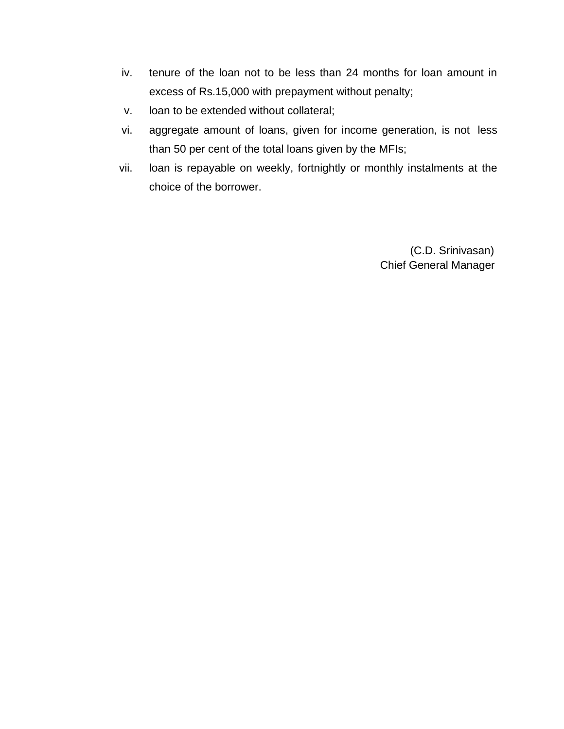- iv. tenure of the loan not to be less than 24 months for loan amount in excess of Rs.15,000 with prepayment without penalty;
- v. loan to be extended without collateral;
- vi. aggregate amount of loans, given for income generation, is not less than 50 per cent of the total loans given by the MFIs;
- vii. loan is repayable on weekly, fortnightly or monthly instalments at the choice of the borrower.

 (C.D. Srinivasan) Chief General Manager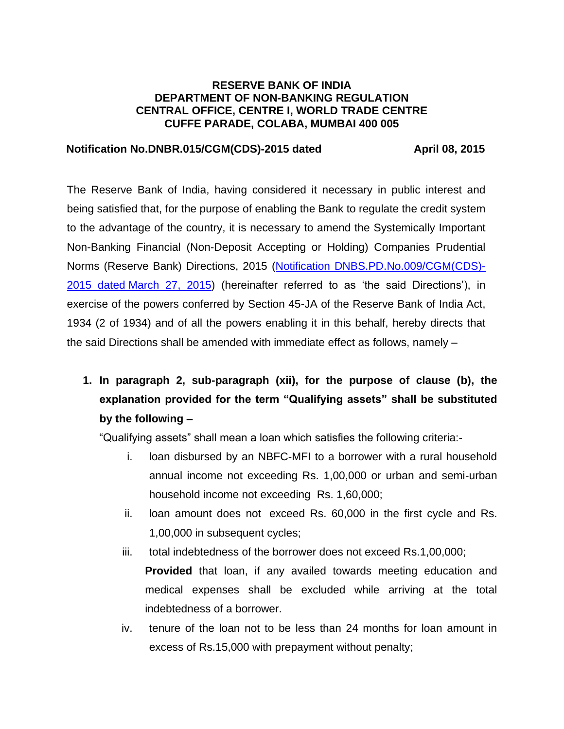### **RESERVE BANK OF INDIA DEPARTMENT OF NON-BANKING REGULATION CENTRAL OFFICE, CENTRE I, WORLD TRADE CENTRE CUFFE PARADE, COLABA, MUMBAI 400 005**

#### **Notification No.DNBR.015/CGM(CDS)-2015 dated April 08, 2015**

The Reserve Bank of India, having considered it necessary in public interest and being satisfied that, for the purpose of enabling the Bank to regulate the credit system to the advantage of the country, it is necessary to amend the Systemically Important Non-Banking Financial (Non-Deposit Accepting or Holding) Companies Prudential Norms (Reserve Bank) Directions, 2015 [\(Notification DNBS.PD.No.009/CGM\(CDS\)-](http://rbidocs.rbi.org.in/rdocs/content/pdfs/3PNNSI270315.pdf) 2015 dated [March 27, 2015\)](http://rbidocs.rbi.org.in/rdocs/content/pdfs/3PNNSI270315.pdf) (hereinafter referred to as 'the said Directions'), in exercise of the powers conferred by Section 45-JA of the Reserve Bank of India Act, 1934 (2 of 1934) and of all the powers enabling it in this behalf, hereby directs that the said Directions shall be amended with immediate effect as follows, namely –

**1. In paragraph 2, sub-paragraph (xii), for the purpose of clause (b), the explanation provided for the term "Qualifying assets" shall be substituted by the following –**

"Qualifying assets" shall mean a loan which satisfies the following criteria:-

- i. loan disbursed by an NBFC-MFI to a borrower with a rural household annual income not exceeding Rs. 1,00,000 or urban and semi-urban household income not exceeding Rs. 1,60,000;
- ii. loan amount does not exceed Rs. 60,000 in the first cycle and Rs. 1,00,000 in subsequent cycles;
- iii. total indebtedness of the borrower does not exceed Rs.1,00,000; **Provided** that loan, if any availed towards meeting education and medical expenses shall be excluded while arriving at the total indebtedness of a borrower.
- iv. tenure of the loan not to be less than 24 months for loan amount in excess of Rs.15,000 with prepayment without penalty;